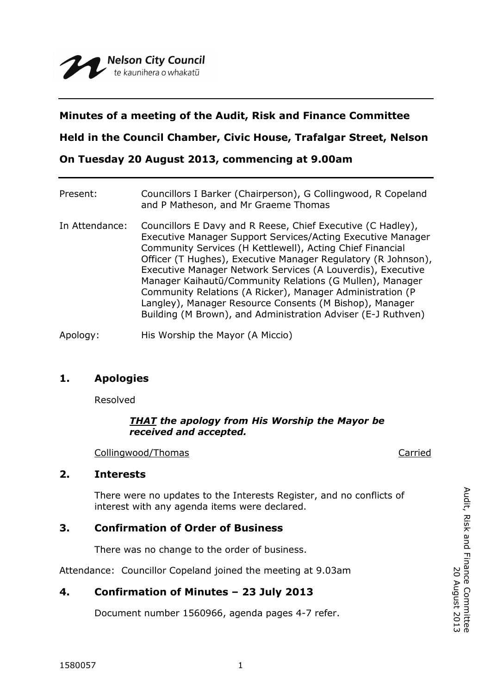# **Minutes of a meeting of the Audit, Risk and Finance Committee**

**Held in the Council Chamber, Civic House, Trafalgar Street, Nelson**

**On Tuesday 20 August 2013, commencing at 9.00am**

| Present:       | Councillors I Barker (Chairperson), G Collingwood, R Copeland<br>and P Matheson, and Mr Graeme Thomas                                                                                                                                                                                                                                                                                                                                                                                                                                                                       |
|----------------|-----------------------------------------------------------------------------------------------------------------------------------------------------------------------------------------------------------------------------------------------------------------------------------------------------------------------------------------------------------------------------------------------------------------------------------------------------------------------------------------------------------------------------------------------------------------------------|
| In Attendance: | Councillors E Davy and R Reese, Chief Executive (C Hadley),<br>Executive Manager Support Services/Acting Executive Manager<br>Community Services (H Kettlewell), Acting Chief Financial<br>Officer (T Hughes), Executive Manager Regulatory (R Johnson),<br>Executive Manager Network Services (A Louverdis), Executive<br>Manager Kaihautū/Community Relations (G Mullen), Manager<br>Community Relations (A Ricker), Manager Administration (P<br>Langley), Manager Resource Consents (M Bishop), Manager<br>Building (M Brown), and Administration Adviser (E-J Ruthven) |
|                |                                                                                                                                                                                                                                                                                                                                                                                                                                                                                                                                                                             |

Apology: His Worship the Mayor (A Miccio)

## **1. Apologies**

Resolved

#### *THAT the apology from His Worship the Mayor be received and accepted.*

Collingwood/Thomas Carried

### **2. Interests**

There were no updates to the Interests Register, and no conflicts of interest with any agenda items were declared.

## **3. Confirmation of Order of Business**

There was no change to the order of business.

Attendance: Councillor Copeland joined the meeting at 9.03am

## **4. Confirmation of Minutes – 23 July 2013**

Document number 1560966, agenda pages 4-7 refer.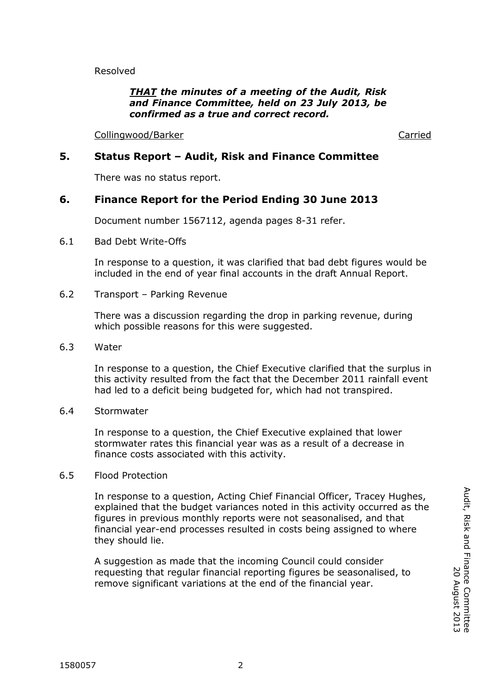Resolved

#### *THAT the minutes of a meeting of the Audit, Risk and Finance Committee, held on 23 July 2013, be confirmed as a true and correct record.*

Collingwood/Barker Carried

### **5. Status Report – Audit, Risk and Finance Committee**

There was no status report.

## **6. Finance Report for the Period Ending 30 June 2013**

Document number 1567112, agenda pages 8-31 refer.

6.1 Bad Debt Write-Offs

In response to a question, it was clarified that bad debt figures would be included in the end of year final accounts in the draft Annual Report.

6.2 Transport – Parking Revenue

There was a discussion regarding the drop in parking revenue, during which possible reasons for this were suggested.

6.3 Water

In response to a question, the Chief Executive clarified that the surplus in this activity resulted from the fact that the December 2011 rainfall event had led to a deficit being budgeted for, which had not transpired.

6.4 Stormwater

In response to a question, the Chief Executive explained that lower stormwater rates this financial year was as a result of a decrease in finance costs associated with this activity.

6.5 Flood Protection

In response to a question, Acting Chief Financial Officer, Tracey Hughes, explained that the budget variances noted in this activity occurred as the figures in previous monthly reports were not seasonalised, and that financial year-end processes resulted in costs being assigned to where they should lie.

A suggestion as made that the incoming Council could consider requesting that regular financial reporting figures be seasonalised, to remove significant variations at the end of the financial year.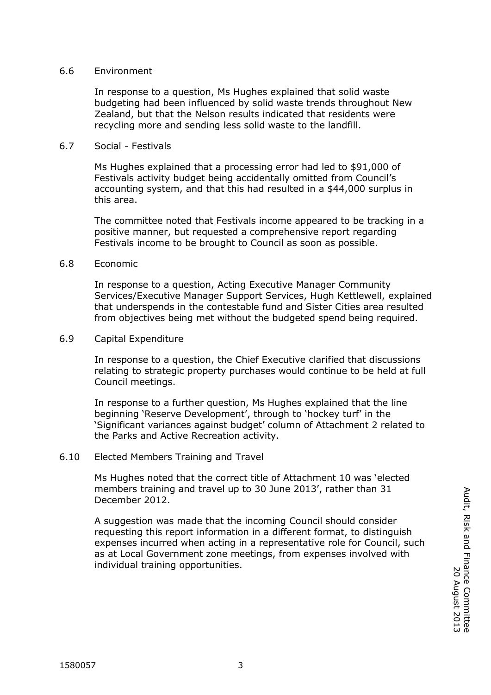#### 6.6 Environment

In response to a question, Ms Hughes explained that solid waste budgeting had been influenced by solid waste trends throughout New Zealand, but that the Nelson results indicated that residents were recycling more and sending less solid waste to the landfill.

#### 6.7 Social - Festivals

Ms Hughes explained that a processing error had led to \$91,000 of Festivals activity budget being accidentally omitted from Council's accounting system, and that this had resulted in a \$44,000 surplus in this area.

The committee noted that Festivals income appeared to be tracking in a positive manner, but requested a comprehensive report regarding Festivals income to be brought to Council as soon as possible.

#### 6.8 Economic

In response to a question, Acting Executive Manager Community Services/Executive Manager Support Services, Hugh Kettlewell, explained that underspends in the contestable fund and Sister Cities area resulted from objectives being met without the budgeted spend being required.

#### 6.9 Capital Expenditure

In response to a question, the Chief Executive clarified that discussions relating to strategic property purchases would continue to be held at full Council meetings.

In response to a further question, Ms Hughes explained that the line beginning 'Reserve Development', through to 'hockey turf' in the 'Significant variances against budget' column of Attachment 2 related to the Parks and Active Recreation activity.

#### 6.10 Elected Members Training and Travel

Ms Hughes noted that the correct title of Attachment 10 was 'elected members training and travel up to 30 June 2013', rather than 31 December 2012.

A suggestion was made that the incoming Council should consider requesting this report information in a different format, to distinguish expenses incurred when acting in a representative role for Council, such as at Local Government zone meetings, from expenses involved with individual training opportunities.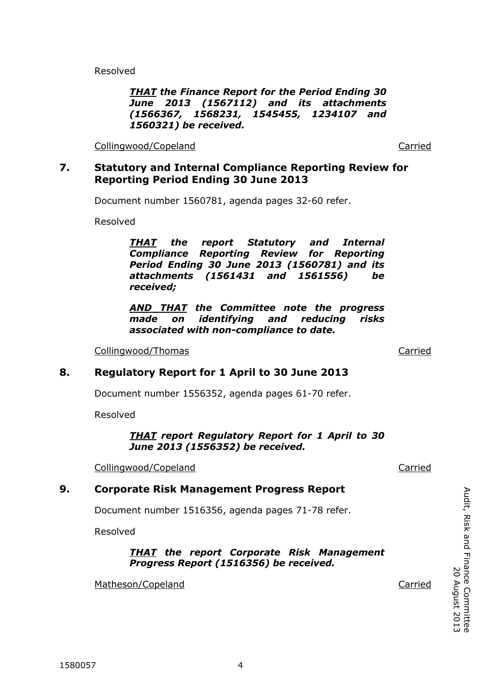Resolved

#### *THAT the Finance Report for the Period Ending 30 June 2013 (1567112) and its attachments (1566367, 1568231, 1545455, 1234107 and 1560321) be received.*

Collingwood/Copeland Carried Carried Carried

# **7. Statutory and Internal Compliance Reporting Review for Reporting Period Ending 30 June 2013**

Document number 1560781, agenda pages 32-60 refer.

Resolved

*THAT the report Statutory and Internal Compliance Reporting Review for Reporting Period Ending 30 June 2013 (1560781) and its attachments (1561431 and 1561556) be received;*

*AND THAT the Committee note the progress made on identifying and reducing risks associated with non-compliance to date.*

Collingwood/Thomas Carried

# **8. Regulatory Report for 1 April to 30 June 2013**

Document number 1556352, agenda pages 61-70 refer.

Resolved

#### *THAT report Regulatory Report for 1 April to 30 June 2013 (1556352) be received.*

Collingwood/Copeland Carried Carried Collingwood Copeland

# **9. Corporate Risk Management Progress Report**

Document number 1516356, agenda pages 71-78 refer.

Resolved

### *THAT the report Corporate Risk Management Progress Report (1516356) be received.*

Matheson/Copeland Carried Carried

Audit, Risk and Finance Committee

Audit, Risk and Finance Committee<br>Audit, Risk and Finance Committee

20 August 2013